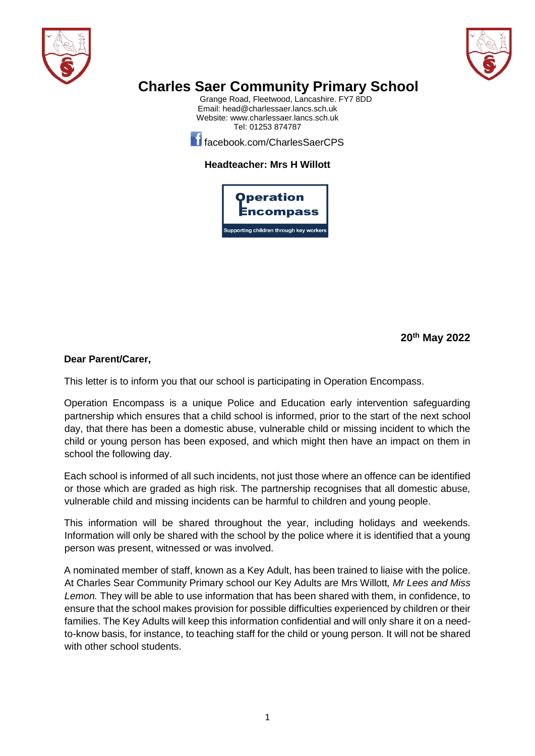



## **Charles Saer Community Primary School**

Grange Road, Fleetwood, Lancashire. FY7 8DD Email[: head@charlessaer.lancs.sch.uk](mailto:head@charlessaer.lancs.sch.uk) Website: [www.charlessaer.lancs.sch.uk](http://www.charlessaer.lancs.sch.uk/) Tel: 01253 874787

**f**acebook.com/CharlesSaerCPS

## **Headteacher: Mrs H Willott**



**20th May 2022**

## **Dear Parent/Carer,**

This letter is to inform you that our school is participating in Operation Encompass.

Operation Encompass is a unique Police and Education early intervention safeguarding partnership which ensures that a child school is informed, prior to the start of the next school day, that there has been a domestic abuse, vulnerable child or missing incident to which the child or young person has been exposed, and which might then have an impact on them in school the following day.

Each school is informed of all such incidents, not just those where an offence can be identified or those which are graded as high risk. The partnership recognises that all domestic abuse, vulnerable child and missing incidents can be harmful to children and young people.

This information will be shared throughout the year, including holidays and weekends. Information will only be shared with the school by the police where it is identified that a young person was present, witnessed or was involved.

A nominated member of staff, known as a Key Adult, has been trained to liaise with the police. At Charles Sear Community Primary school our Key Adults are Mrs Willott*, Mr Lees and Miss Lemon.* They will be able to use information that has been shared with them, in confidence, to ensure that the school makes provision for possible difficulties experienced by children or their families. The Key Adults will keep this information confidential and will only share it on a needto-know basis, for instance, to teaching staff for the child or young person. It will not be shared with other school students.